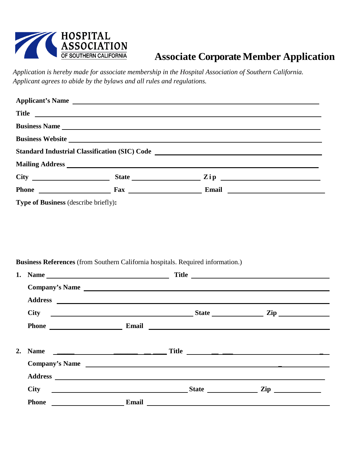

# **Associate Corporate Member Application**

*Application is hereby made for associate membership in the Hospital Association of Southern California. Applicant agrees to abide by the bylaws and all rules and regulations.*

|                                             |  | Applicant's Name                                                                                                                                                                                                               |  |  |  |
|---------------------------------------------|--|--------------------------------------------------------------------------------------------------------------------------------------------------------------------------------------------------------------------------------|--|--|--|
| Title                                       |  |                                                                                                                                                                                                                                |  |  |  |
|                                             |  | <b>Business Name</b>                                                                                                                                                                                                           |  |  |  |
|                                             |  |                                                                                                                                                                                                                                |  |  |  |
|                                             |  | Standard Industrial Classification (SIC) Code ___________________________________                                                                                                                                              |  |  |  |
|                                             |  |                                                                                                                                                                                                                                |  |  |  |
|                                             |  |                                                                                                                                                                                                                                |  |  |  |
|                                             |  | Phone Fax Email Email Email Email Email Communications and Email Communications and Email Communications and Email Communications and Email Communications and Email Communications and Email Communications and Email Communi |  |  |  |
| <b>Type of Business (describe briefly):</b> |  |                                                                                                                                                                                                                                |  |  |  |

#### **Business References** (from Southern California hospitals. Required information.)

|              |  | $\mathbf{Zip}$                                                                                                                                                                                                                                                                                                                                                                                                                                                                                                                      |
|--------------|--|-------------------------------------------------------------------------------------------------------------------------------------------------------------------------------------------------------------------------------------------------------------------------------------------------------------------------------------------------------------------------------------------------------------------------------------------------------------------------------------------------------------------------------------|
| <b>Phone</b> |  |                                                                                                                                                                                                                                                                                                                                                                                                                                                                                                                                     |
|              |  | Company's Name<br>Phone Email Email Contract of the Second Line of the Second Line of the Second Line of the Second Line of the Second Line of the Second Line of the Second Line of the Second Line of the Second Line of the Second Line of th<br>Company's Name<br>City State State State<br><u>Email</u> Email et al. 2007 and 2008 and 2008 and 2008 and 2008 and 2008 and 2008 and 2008 and 2008 and 2008 and 2008 and 2008 and 2008 and 2008 and 2008 and 2008 and 2008 and 2008 and 2008 and 2008 and 2008 and 2008 and 200 |